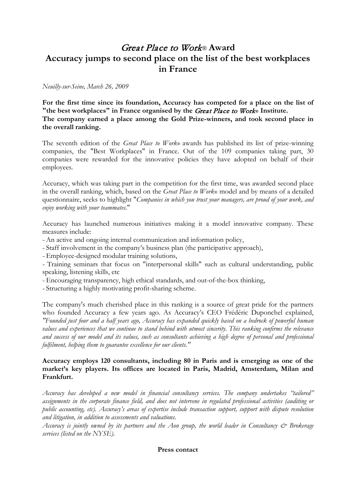## Great Place to Work® **Award Accuracy jumps to second place on the list of the best workplaces in France**

*Neuilly-sur-Seine, March 26, 2009*

**For the first time since its foundation, Accuracy has competed for a place on the list of "the best workplaces" in France organised by the** Great Place to Work**® Institute. The company earned a place among the Gold Prize-winners, and took second place in the overall ranking.**

The seventh edition of the *Great Place to Work*® awards has published its list of prize-winning companies, the "Best Workplaces" in France. Out of the 109 companies taking part, 30 companies were rewarded for the innovative policies they have adopted on behalf of their employees.

Accuracy, which was taking part in the competition for the first time, was awarded second place in the overall ranking, which, based on the *Great Place to Work*® model and by means of a detailed questionnaire, seeks to highlight "*Companies in which you trust your managers, are proud of your work, and enjoy working with your teammates.*"

Accuracy has launched numerous initiatives making it a model innovative company. These measures include:

<sup>−</sup>An active and ongoing internal communication and information policy,

<sup>−</sup>Staff involvement in the company's business plan (the participative approach),

<sup>−</sup>Employee-designed modular training solutions,

<sup>−</sup>Training seminars that focus on "interpersonal skills" such as cultural understanding, public speaking, listening skills, etc

<sup>−</sup>Encouraging transparency, high ethical standards, and out-of-the-box thinking,

<sup>−</sup>Structuring a highly motivating profit-sharing scheme.

The company's much cherished place in this ranking is a source of great pride for the partners who founded Accuracy a few years ago. As Accuracy's CEO Frédéric Duponchel explained, *"Founded just four and a half years ago, Accuracy has expanded quickly based on a bedrock of powerful human values and experiences that we continue to stand behind with utmost sincerity. This ranking confirms the relevance and success of our model and its values, such as consultants achieving a high degree of personal and professional fulfilment, helping them to guarantee excellence for our clients."*

## **Accuracy employs 120 consultants, including 80 in Paris and is emerging as one of the market's key players. Its offices are located in Paris, Madrid, Amsterdam, Milan and Frankfurt.**

*Accuracy has developed a new model in financial consultancy services. The company undertakes "tailored" assignments in the corporate finance field, and does not intervene in regulated professional activities (auditing or public accounting, etc). Accuracy's areas of expertise include transaction support, support with dispute resolution and litigation, in addition to assessments and valuations.* 

*Accuracy is jointly owned by its partners and the Aon group, the world leader in Consultancy & Brokerage services (listed on the NYSE).*

## **Press contact**